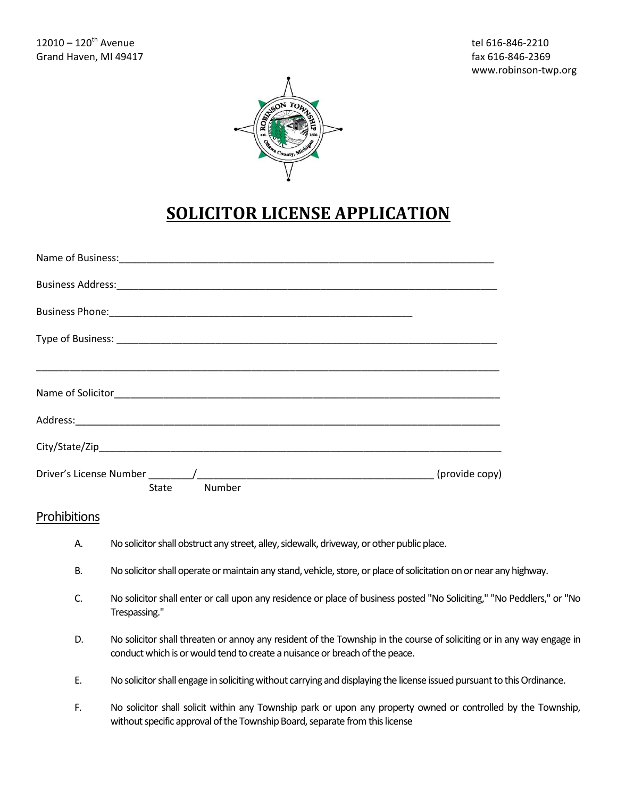

## **SOLICITOR LICENSE APPLICATION**

| State Number |  |
|--------------|--|

## Prohibitions

- A. No solicitor shall obstruct any street, alley, sidewalk, driveway, or other public place.
- B. No solicitor shall operate or maintain any stand, vehicle, store, or place of solicitation on or near any highway.
- C. No solicitor shall enter or call upon any residence or place of business posted "No Soliciting," "No Peddlers," or "No Trespassing."
- D. No solicitor shall threaten or annoy any resident of the Township in the course of soliciting or in any way engage in conduct which is or would tend to create a nuisance or breach of the peace.
- E. No solicitor shall engage in soliciting without carrying and displaying the license issued pursuant to this Ordinance.
- F. No solicitor shall solicit within any Township park or upon any property owned or controlled by the Township, without specific approval of the Township Board, separate from this license